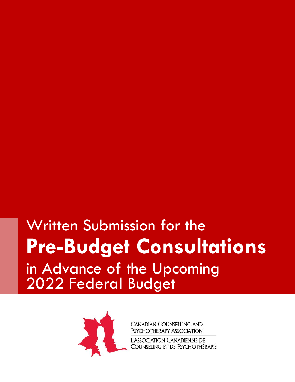# Written Submission for the **Pre-Budget Consultations** in Advance of the Upcoming 2022 Federal Budget



**CANADIAN COUNSELLING AND** PSYCHOTHERAPY ASSOCIATION

L'ASSOCIATION CANADIENNE DE COUNSELING ET DE PSYCHOTHÉRAPIE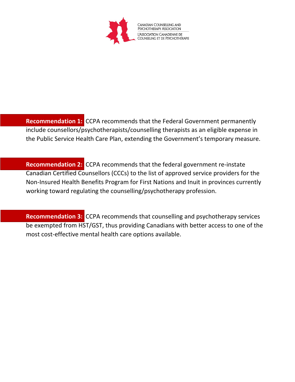

**Recommendation 1:** CCPA recommends that the Federal Government permanently include counsellors/psychotherapists/counselling therapists as an eligible expense in the Public Service Health Care Plan, extending the Government's temporary measure.

**Recommendation 2:** CCPA recommends that the federal government re-instate Canadian Certified Counsellors (CCCs) to the list of approved service providers for the Non-Insured Health Benefits Program for First Nations and Inuit in provinces currently working toward regulating the counselling/psychotherapy profession.

**Recommendation 3:** CCPA recommends that counselling and psychotherapy services be exempted from HST/GST, thus providing Canadians with better access to one of the most cost-effective mental health care options available.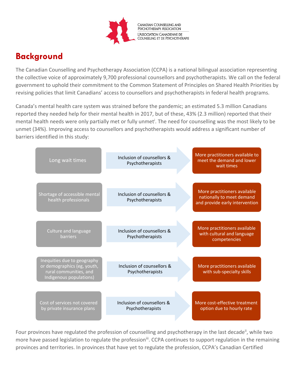

## **Background**

The Canadian Counselling and Psychotherapy Association (CCPA) is a national bilingual association representing the collective voice of approximately 9,700 professional counsellors and psychotherapists. We call on the federal government to uphold their commitment to the Common Statement of Principles on Shared Health Priorities by revising policies that limit Canadians' access to counsellors and psychotherapists in federal health programs.

Canada's mental health care system was strained before the pandemic; an estimated 5.3 million Canadians reported they needed help for their mental health in 2017, but of these, 43% (2.3 million) reported that their mental health needs were only partially met or fully unmet<sup>i</sup>. The need for counselling was the most likely to be unmet (34%). Improving access to counsellors and psychotherapists would address a significant number of barriers identified in this study:

| Long wait times                                                                                                 | Inclusion of counsellors &<br>Psychotherapists | More practitioners available to<br>meet the demand and lower<br>wait times                  |
|-----------------------------------------------------------------------------------------------------------------|------------------------------------------------|---------------------------------------------------------------------------------------------|
| Shortage of accessible mental<br>health professionals                                                           | Inclusion of counsellors &<br>Psychotherapists | More practitioners available<br>nationally to meet demand<br>and provide early intervention |
| Culture and language<br><b>barriers</b>                                                                         | Inclusion of counsellors &<br>Psychotherapists | More practitioners available<br>with cultural and language<br>competencies                  |
| Inequities due to geography<br>or demographics (eg, youth,<br>rural communities, and<br>Indigenous populations) | Inclusion of counsellors &<br>Psychotherapists | More practitioners available<br>with sub-specialty skills                                   |
| Cost of services not covered<br>by private insurance plans                                                      | Inclusion of counsellors &<br>Psychotherapists | More cost-effective treatment<br>option due to hourly rate                                  |

Four provinces have regulated the profession of counselling and psychotherapy in the last decade<sup>ii</sup>, while two more have passed legislation to regulate the profession<sup>iii</sup>. CCPA continues to support regulation in the remaining provinces and territories. In provinces that have yet to regulate the profession, CCPA's Canadian Certified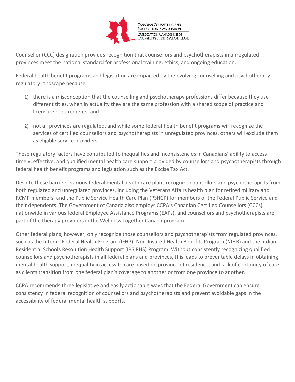

Counsellor (CCC) designation provides recognition that counsellors and psychotherapists in unregulated provinces meet the national standard for professional training, ethics, and ongoing education.

Federal health benefit programs and legislation are impacted by the evolving counselling and psychotherapy regulatory landscape because

- 1) there is a misconception that the counselling and psychotherapy professions differ because they use different titles, when in actuality they are the same profession with a shared scope of practice and licensure requirements, and
- 2) not all provinces are regulated, and while some federal health benefit programs will recognize the services of certified counsellors and psychotherapists in unregulated provinces, others will exclude them as eligible service providers.

These regulatory factors have contributed to inequalities and inconsistencies in Canadians' ability to access timely, effective, and qualified mental health care support provided by counsellors and psychotherapists through federal health benefit programs and legislation such as the Excise Tax Act.

Despite these barriers, various federal mental health care plans recognize counsellors and psychotherapists from both regulated and unregulated provinces, including the Veterans Affairs health plan for retired military and RCMP members, and the Public Service Health Care Plan (PSHCP) for members of the Federal Public Service and their dependents. The Government of Canada also employs CCPA's Canadian Certified Counsellors (CCCs) nationwide in various federal Employee Assistance Programs (EAPs), and counsellors and psychotherapists are part of the therapy providers in the Wellness Together Canada program.

Other federal plans, however, only recognize those counsellors and psychotherapists from regulated provinces, such as the Interim Federal Health Program (IFHP), Non-Insured Health Benefits Program (NIHB) and the Indian Residential Schools Resolution Health Support (IRS RHS) Program. Without consistently recognizing qualified counsellors and psychotherapists in all federal plans and provinces, this leads to preventable delays in obtaining mental health support, inequality in access to care based on province of residence, and lack of continuity of care as clients transition from one federal plan's coverage to another or from one province to another.

CCPA recommends three legislative and easily actionable ways that the Federal Government can ensure consistency in federal recognition of counsellors and psychotherapists and prevent avoidable gaps in the accessibility of federal mental health supports.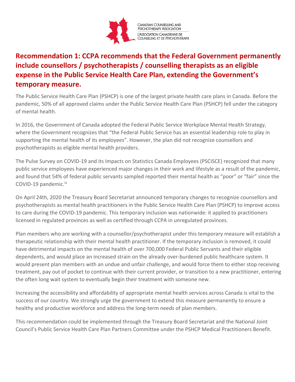

#### **Recommendation 1: CCPA recommends that the Federal Government permanently include counsellors / psychotherapists / counselling therapists as an eligible expense in the Public Service Health Care Plan, extending the Government's temporary measure.**

The Public Service Health Care Plan (PSHCP) is one of the largest private health care plans in Canada. Before the pandemic, 50% of all approved claims under the Public Service Health Care Plan (PSHCP) fell under the category of mental health.

In 2016, the Government of Canada adopted the Federal Public Service Workplace Mental Health Strategy, where the Government recognizes that "the Federal Public Service has an essential leadership role to play in supporting the mental health of its employees". However, the plan did not recognize counsellors and psychotherapists as eligible mental health providers.

The Pulse Survey on COVID-19 and its Impacts on Statistics Canada Employees (PSCISCE) recognized that many public service employees have experienced major changes in their work and lifestyle as a result of the pandemic, and found that 54% of federal public servants sampled reported their mental health as "poor" or "fair" since the COVID-19 pandemic.iv

On April 24th, 2020 the Treasury Board Secretariat announced temporary changes to recognize counsellors and psychotherapists as mental health practitioners in the Public Service Health Care Plan (PSHCP) to improve access to care during the COVID-19 pandemic. This temporary inclusion was nationwide: it applied to practitioners licensed in regulated provinces as well as certified through CCPA in unregulated provinces.

Plan members who are working with a counsellor/psychotherapist under this temporary measure will establish a therapeutic relationship with their mental health practitioner. If the temporary inclusion is removed, it could have detrimental impacts on the mental health of over 700,000 Federal Public Servants and their eligible dependents, and would place an increased strain on the already over-burdened public healthcare system. It would present plan members with an undue and unfair challenge, and would force them to either stop receiving treatment, pay out of pocket to continue with their current provider, or transition to a new practitioner, entering the often long wait system to eventually begin their treatment with someone new.

Increasing the accessibility and affordability of appropriate mental health services across Canada is vital to the success of our country. We strongly urge the government to extend this measure permanently to ensure a healthy and productive workforce and address the long-term needs of plan members.

This recommendation could be implemented through the Treasury Board Secretariat and the National Joint Council's Public Service Health Care Plan Partners Committee under the PSHCP Medical Practitioners Benefit.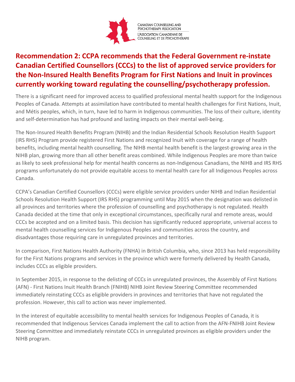

### Canadian Counselling and<br>Psychotherapy Association -<br>L'Association Canadienne de<br>Counseling et de Psychothérapie

#### **Recommendation 2: CCPA recommends that the Federal Government re-instate Canadian Certified Counsellors (CCCs) to the list of approved service providers for the Non-Insured Health Benefits Program for First Nations and Inuit in provinces currently working toward regulating the counselling/psychotherapy profession.**

There is a significant need for improved access to qualified professional mental health support for the Indigenous Peoples of Canada. Attempts at assimilation have contributed to mental health challenges for First Nations, Inuit, and Métis peoples, which, in turn, have led to harm in Indigenous communities. The loss of their culture, identity and self-determination has had profound and lasting impacts on their mental well-being.

The Non-Insured Health Benefits Program (NIHB) and the Indian Residential Schools Resolution Health Support (IRS RHS) Program provide registered First Nations and recognized Inuit with coverage for a range of health benefits, including mental health counselling. The NIHB mental health benefit is the largest-growing area in the NIHB plan, growing more than all other benefit areas combined. While Indigenous Peoples are more than twice as likely to seek professional help for mental health concerns as non-Indigenous Canadians, the NIHB and IRS RHS programs unfortunately do not provide equitable access to mental health care for all Indigenous Peoples across Canada.

CCPA's Canadian Certified Counsellors (CCCs) were eligible service providers under NIHB and Indian Residential Schools Resolution Health Support (IRS RHS) programming until May 2015 when the designation was delisted in all provinces and territories where the profession of counselling and psychotherapy is not regulated. Health Canada decided at the time that only in exceptional circumstances, specifically rural and remote areas, would CCCs be accepted and on a limited basis. This decision has significantly reduced appropriate, universal access to mental health counselling services for Indigenous Peoples and communities across the country, and disadvantages those requiring care in unregulated provinces and territories.

In comparison, First Nations Health Authority (FNHA) in British Columbia, who, since 2013 has held responsibility for the First Nations programs and services in the province which were formerly delivered by Health Canada, includes CCCs as eligible providers.

In September 2015, in response to the delisting of CCCs in unregulated provinces, the Assembly of First Nations (AFN) - First Nations Inuit Health Branch (FNIHB) NIHB Joint Review Steering Committee recommended immediately reinstating CCCs as eligible providers in provinces and territories that have not regulated the profession. However, this call to action was never implemented.

In the interest of equitable accessibility to mental health services for Indigenous Peoples of Canada, it is recommended that Indigenous Services Canada implement the call to action from the AFN-FNIHB Joint Review Steering Committee and immediately reinstate CCCs in unregulated provinces as eligible providers under the NIHB program.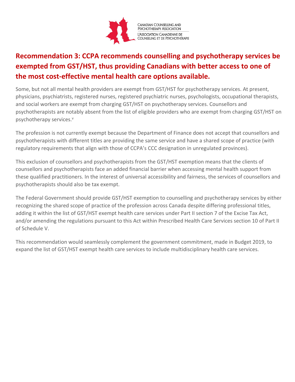

### **Recommendation 3: CCPA recommends counselling and psychotherapy services be exempted from GST/HST, thus providing Canadians with better access to one of the most cost-effective mental health care options available.**

Some, but not all mental health providers are exempt from GST/HST for psychotherapy services. At present, physicians, psychiatrists, registered nurses, registered psychiatric nurses, psychologists, occupational therapists, and social workers are exempt from charging GST/HST on psychotherapy services. Counsellors and psychotherapists are notably absent from the list of eligible providers who are exempt from charging GST/HST on psychotherapy services.<sup>v</sup>

The profession is not currently exempt because the Department of Finance does not accept that counsellors and psychotherapists with different titles are providing the same service and have a shared scope of practice (with regulatory requirements that align with those of CCPA's CCC designation in unregulated provinces).

This exclusion of counsellors and psychotherapists from the GST/HST exemption means that the clients of counsellors and psychotherapists face an added financial barrier when accessing mental health support from these qualified practitioners. In the interest of universal accessibility and fairness, the services of counsellors and psychotherapists should also be tax exempt.

The Federal Government should provide GST/HST exemption to counselling and psychotherapy services by either recognizing the shared scope of practice of the profession across Canada despite differing professional titles, adding it within the list of GST/HST exempt health care services under Part II section 7 of the Excise Tax Act, and/or amending the regulations pursuant to this Act within Prescribed Health Care Services section 10 of Part II of Schedule V.

This recommendation would seamlessly complement the government commitment, made in Budget 2019, to expand the list of GST/HST exempt health care services to include multidisciplinary health care services.